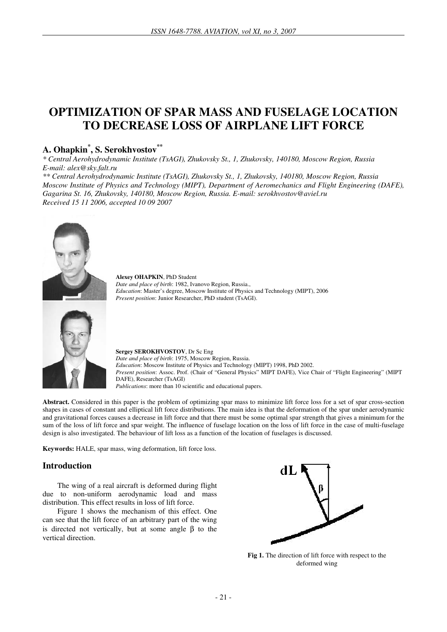# **OPTIMIZATION OF SPAR MASS AND FUSELAGE LOCATION TO DECREASE LOSS OF AIRPLANE LIFT FORCE**

# **A. Ohapkin\* , S. Serokhvostov\*\***

*\* Central Aerohydrodynamic Institute (TsAGI), Zhukovsky St., 1, Zhukovsky, 140180, Moscow Region, Russia E-mail: alex@sky.falt.ru* 

*\*\* Central Aerohydrodynamic Institute (TsAGI), Zhukovsky St., 1, Zhukovsky, 140180, Moscow Region, Russia Moscow Institute of Physics and Technology (MIPT), Department of Aeromechanics and Flight Engineering (DAFE), Gagarina St. 16, Zhukovsky, 140180, Moscow Region, Russia. E-mail: serokhvostov@aviel.ru Received 15 11 2006, accepted 10 09 2007* 



**Alexey OHAPKIN**, PhD Student *Date and place of birth*: 1982, Ivanovo Region, Russia., *Education*: Master's degree, Moscow Institute of Physics and Technology (MIPT), 2006 *Present position*: Junior Researcher, PhD student (TsAGI).



**Sergey SEROKHVOSTOV**, Dr Sc Eng *Date and place of birth*: 1975, Moscow Region, Russia. *Education*: Moscow Institute of Physics and Technology (MIPT) 1998, PhD 2002. *Present position*: Assoc. Prof. (Chair of "General Physics" MIPT DAFE), Vice Chair of "Flight Engineering" (MIPT DAFE), Researcher (TsAGI) *Publications*: more than 10 scientific and educational papers.

**Abstract.** Considered in this paper is the problem of optimizing spar mass to minimize lift force loss for a set of spar cross-section shapes in cases of constant and elliptical lift force distributions. The main idea is that the deformation of the spar under aerodynamic and gravitational forces causes a decrease in lift force and that there must be some optimal spar strength that gives a minimum for the sum of the loss of lift force and spar weight. The influence of fuselage location on the loss of lift force in the case of multi-fuselage design is also investigated. The behaviour of lift loss as a function of the location of fuselages is discussed.

**Keywords:** HALE, spar mass, wing deformation, lift force loss.

### **Introduction**

The wing of a real aircraft is deformed during flight due to non-uniform aerodynamic load and mass distribution. This effect results in loss of lift force.

Figure 1 shows the mechanism of this effect. One can see that the lift force of an arbitrary part of the wing is directed not vertically, but at some angle β to the vertical direction.



**Fig 1.** The direction of lift force with respect to the deformed wing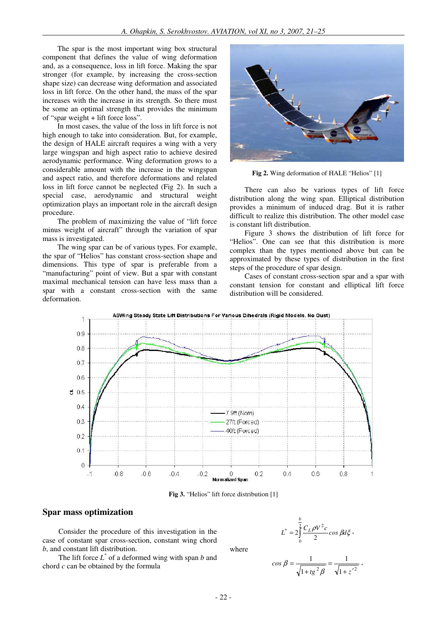The spar is the most important wing box structural component that defines the value of wing deformation and, as a consequence, loss in lift force. Making the spar stronger (for example, by increasing the cross-section shape size) can decrease wing deformation and associated loss in lift force. On the other hand, the mass of the spar increases with the increase in its strength. So there must be some an optimal strength that provides the minimum of "spar weight + lift force loss".

In most cases, the value of the loss in lift force is not high enough to take into consideration. But, for example, the design of HALE aircraft requires a wing with a very large wingspan and high aspect ratio to achieve desired aerodynamic performance. Wing deformation grows to a considerable amount with the increase in the wingspan and aspect ratio, and therefore deformations and related loss in lift force cannot be neglected (Fig 2). In such a special case, aerodynamic and structural weight optimization plays an important role in the aircraft design procedure.

The problem of maximizing the value of "lift force minus weight of aircraft" through the variation of spar mass is investigated.

The wing spar can be of various types. For example, the spar of "Helios" has constant cross-section shape and dimensions. This type of spar is preferable from a "manufacturing" point of view. But a spar with constant maximal mechanical tension can have less mass than a spar with a constant cross-section with the same deformation.



**Fig 2.** Wing deformation of HALE "Helios" [1]

There can also be various types of lift force distribution along the wing span. Elliptical distribution provides a minimum of induced drag. But it is rather difficult to realize this distribution. The other model case is constant lift distribution.

Figure 3 shows the distribution of lift force for "Helios". One can see that this distribution is more complex than the types mentioned above but can be approximated by these types of distribution in the first steps of the procedure of spar design.

Cases of constant cross-section spar and a spar with constant tension for constant and elliptical lift force distribution will be considered.



**Fig 3.** "Helios" lift force distribution [1]

#### **Spar mass optimization**

Consider the procedure of this investigation in the case of constant spar cross-section, constant wing chord *b*, and constant lift distribution.

The lift force  $L^*$  of a deformed wing with span *b* and chord *c* can be obtained by the formula

$$
L^* = 2 \int_0^{\frac{b}{2}} \frac{C_L \rho V^2 c}{2} \cos \beta d\xi,
$$

where

$$
\cos \beta = \frac{1}{\sqrt{1 + t g^2 \beta}} = \frac{1}{\sqrt{1 + z'^2}} \,,
$$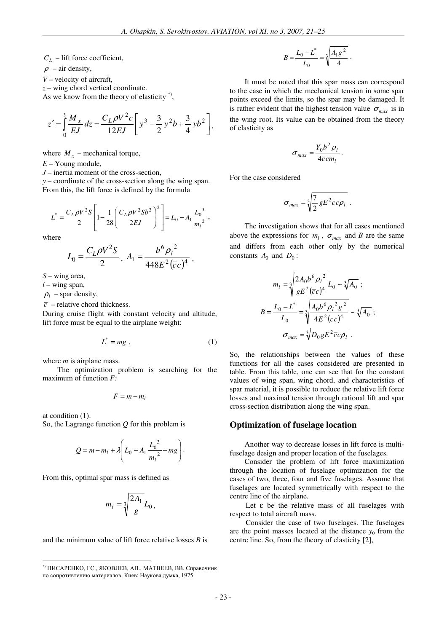*CL* – lift force coefficient,

 $\rho$  – air density,

*V* – velocity of aircraft,

*z* – wing chord vertical coordinate.

As we know from the theory of elasticity<sup>\*</sup>,

$$
z' = \int_{0}^{y} \frac{M_x}{EJ} dz = \frac{C_L \rho V^2 c}{12EJ} \left[ y^3 - \frac{3}{2} y^2 b + \frac{3}{4} y b^2 \right],
$$

where  $M_x$  – mechanical torque,

*E* – Young module,

*J* – inertia moment of the cross-section,

*y* – coordinate of the cross-section along the wing span. From this, the lift force is defined by the formula

$$
L^* = \frac{C_L \rho V^2 S}{2} \left[ 1 - \frac{1}{28} \left( \frac{C_L \rho V^2 S b^2}{2 E J} \right)^2 \right] = L_0 - A_1 \frac{L_0^3}{m_l^2},
$$

where

$$
L_0 = \frac{C_L \rho V^2 S}{2}, A_1 = \frac{b^6 \rho_l^2}{448 E^2 (c c)^4},
$$

*S* – wing area,

*l* – wing span,

 $\rho_l$  – spar density,

 $\overline{c}$  – relative chord thickness.

During cruise flight with constant velocity and altitude, lift force must be equal to the airplane weight:

$$
L^* = mg \t{,} \t(1)
$$

where *m* is airplane mass.

The optimization problem is searching for the maximum of function *F:* 

$$
F=m-m_l
$$

at condition (1).

So, the Lagrange function *Q* for this problem is

$$
Q = m - m_l + \lambda \left( L_0 - A_1 \frac{L_0^3}{m_l^2} - mg \right).
$$

From this, optimal spar mass is defined as

$$
m_l = \sqrt[3]{\frac{2A_1}{g}} L_0,
$$

and the minimum value of lift force relative losses *B* is

$$
B = \frac{L_0 - L^*}{L_0} = \sqrt[3]{\frac{A_1 g^2}{4}}.
$$

It must be noted that this spar mass can correspond to the case in which the mechanical tension in some spar points exceed the limits, so the spar may be damaged. It is rather evident that the highest tension value  $\sigma_{max}$  is in the wing root. Its value can be obtained from the theory of elasticity as

$$
\sigma_{max} = \frac{Y_0 b^2 \rho_l}{4 \overline{c} c m_l}.
$$

For the case considered

$$
\sigma_{max} = \sqrt[3]{\frac{7}{2} g E^2 \overline{c} c \rho_l} \ .
$$

The investigation shows that for all cases mentioned above the expressions for  $m_l$ ,  $\sigma_{max}$  and *B* are the same and differs from each other only by the numerical constants  $A_0$  and  $D_0$ :

$$
m_l = \sqrt[3]{\frac{2A_0b^6\rho_l^2}{gE^2(\overline{c}c)^4}}L_0 \sim \sqrt[3]{A_0} ;
$$
  

$$
B = \frac{L_0 - L^*}{L_0} = \sqrt[3]{\frac{A_0b^6\rho_l^2g^2}{4E^2(\overline{c}c)^4}} \sim \sqrt[3]{A_0} ;
$$
  

$$
\sigma_{max} = \sqrt[3]{D_0gE^2\overline{c}c\rho_l}.
$$

So, the relationships between the values of these functions for all the cases considered are presented in table. From this table, one can see that for the constant values of wing span, wing chord, and characteristics of spar material, it is possible to reduce the relative lift force losses and maximal tension through rational lift and spar cross-section distribution along the wing span.

#### **Optimization of fuselage location**

Another way to decrease losses in lift force is multifuselage design and proper location of the fuselages.

Consider the problem of lift force maximization through the location of fuselage optimization for the cases of two, three, four and five fuselages. Assume that fuselages are located symmetrically with respect to the centre line of the airplane.

Let  $\varepsilon$  be the relative mass of all fuselages with respect to total aircraft mass.

Consider the case of two fuselages. The fuselages are the point masses located at the distance  $y_0$  from the centre line. So, from the theory of elasticity [2],

 \*) ПИСАРЕНКО, ГС., ЯКОВЛЕВ, АП., МАТВЕЕВ, ВВ. Справочник по сопротивлению материалов. Киев: Наукова думка, 1975.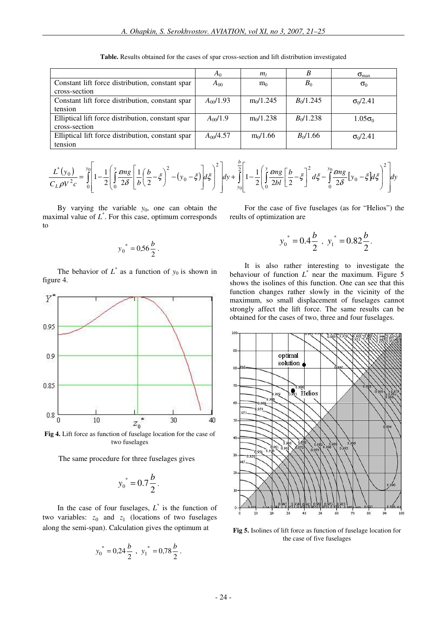|                                                   | $A_0$         | m <sub>l</sub> | B           | $\sigma_{\text{max}}$ |
|---------------------------------------------------|---------------|----------------|-------------|-----------------------|
| Constant lift force distribution, constant spar   | $A_{00}$      | m <sub>0</sub> | $B_0$       | $\sigma_0$            |
| cross-section                                     |               |                |             |                       |
| Constant lift force distribution, constant spar   | $A_{00}/1.93$ | $m_0/1.245$    | $B_0/1.245$ | $\sigma_0/2.41$       |
| tension                                           |               |                |             |                       |
| Elliptical lift force distribution, constant spar | $A_{00}/1.9$  | $m_0/1.238$    | $B_0/1.238$ | $1.05\sigma_0$        |
| cross-section                                     |               |                |             |                       |
| Elliptical lift force distribution, constant spar | $A_{00}/4.57$ | $m_0/1.66$     | $B_0/1.66$  | $\sigma_0/2.41$       |
| tension                                           |               |                |             |                       |

**Table.** Results obtained for the cases of spar cross-section and lift distribution investigated

$$
\frac{L^*(y_0)}{C_L \rho V^2 c} = \int_0^{y_0} \left[ 1 - \frac{1}{2} \left( \int_0^y \frac{\epsilon mg}{2\delta} \left[ \frac{1}{b} \left( \frac{b}{2} - \xi \right)^2 - (y_0 - \xi) \right] d\xi \right]^2 \right] dy + \int_0^{\frac{b}{2}} \left[ 1 - \frac{1}{2} \left( \int_0^y \frac{\epsilon mg}{2bl} \left[ \frac{b}{2} - \xi \right]^2 d\xi - \int_0^y \frac{\epsilon mg}{2\delta} \left[ y_0 - \xi \right] d\xi \right)^2 \right] dy
$$

By varying the variable  $y_0$ , one can obtain the maximal value of *L* \* . For this case, optimum corresponds to

$$
y_0^* = 0.56 \frac{b}{2} \, .
$$

The behavior of  $L^*$  as a function of  $y_0$  is shown in figure 4.



**Fig 4.** Lift force as function of fuselage location for the case of two fuselages

The same procedure for three fuselages gives

$$
y_0^* = 0.7 \frac{b}{2}.
$$

In the case of four fuselages,  $L^*$  is the function of two variables:  $z_0$  and  $z_1$  (locations of two fuselages along the semi-span). Calculation gives the optimum at

$$
y_0^* = 0.24 \frac{b}{2}
$$
,  $y_1^* = 0.78 \frac{b}{2}$ .

For the case of five fuselages (as for "Helios") the reults of optimization are

$$
y_0^* = 0.4\frac{b}{2}
$$
,  $y_1^* = 0.82\frac{b}{2}$ .

It is also rather interesting to investigate the behaviour of function  $L^*$  near the maximum. Figure 5 shows the isolines of this function. One can see that this function changes rather slowly in the vicinity of the maximum, so small displacement of fuselages cannot strongly affect the lift force. The same results can be obtained for the cases of two, three and four fuselages.



**Fig 5.** Isolines of lift force as function of fuselage location for the case of five fuselages